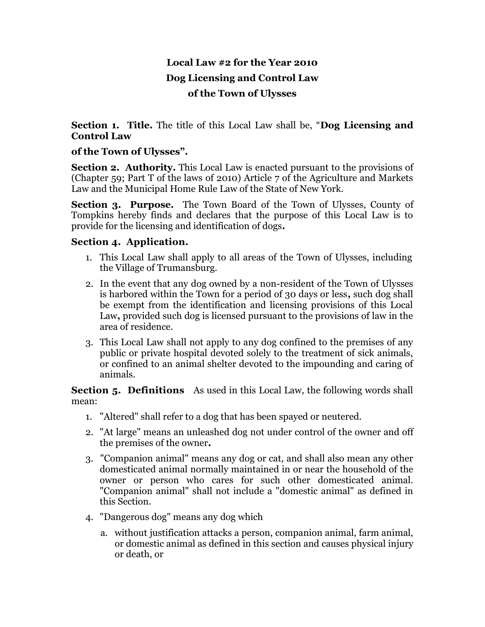# **Local Law #2 for the Year 2010 Dog Licensing and Control Law of the Town of Ulysses**

**Section 1. Title.** The title of this Local Law shall be, "**Dog Licensing and Control Law**

### **of the Town of Ulysses".**

**Section 2. Authority.** This Local Law is enacted pursuant to the provisions of (Chapter 59; Part T of the laws of 2010) Article 7 of the Agriculture and Markets Law and the Municipal Home Rule Law of the State of New York.

**Section 3. Purpose.** The Town Board of the Town of Ulysses, County of Tompkins hereby finds and declares that the purpose of this Local Law is to provide for the licensing and identification of dogs**.** 

## **Section 4. Application.**

- 1. This Local Law shall apply to all areas of the Town of Ulysses, including the Village of Trumansburg.
- 2. In the event that any dog owned by a non-resident of the Town of Ulysses is harbored within the Town for a period of 30 days or less**,** such dog shall be exempt from the identification and licensing provisions of this Local Law**,** provided such dog is licensed pursuant to the provisions of law in the area of residence.
- 3. This Local Law shall not apply to any dog confined to the premises of any public or private hospital devoted solely to the treatment of sick animals, or confined to an animal shelter devoted to the impounding and caring of animals.

**Section 5. Definitions** As used in this Local Law, the following words shall mean:

- 1. "Altered" shall refer to a dog that has been spayed or neutered.
- 2. "At large" means an unleashed dog not under control of the owner and off the premises of the owner**.**
- 3. "Companion animal" means any dog or cat, and shall also mean any other domesticated animal normally maintained in or near the household of the owner or person who cares for such other domesticated animal. "Companion animal" shall not include a "domestic animal" as defined in this Section.
- 4. "Dangerous dog" means any dog which
	- a. without justification attacks a person, companion animal, farm animal, or domestic animal as defined in this section and causes physical injury or death, or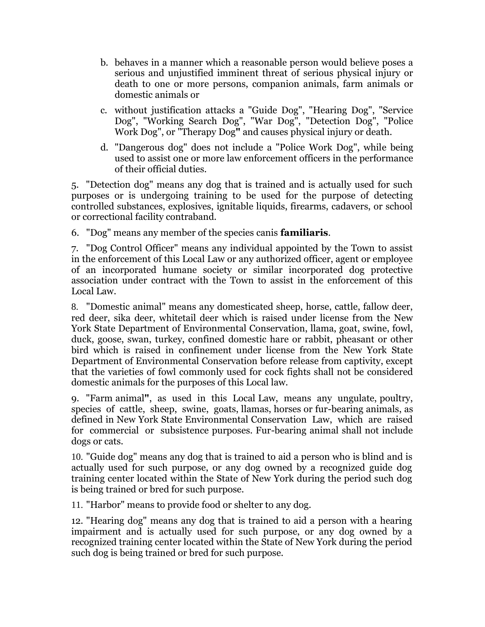- b. behaves in a manner which a reasonable person would believe poses a serious and unjustified imminent threat of serious physical injury or death to one or more persons, companion animals, farm animals or domestic animals or
- c. without justification attacks a "Guide Dog", "Hearing Dog", "Service Dog", "Working Search Dog", "War Dog", "Detection Dog", "Police Work Dog", or "Therapy Dog**"** and causes physical injury or death.
- d. "Dangerous dog" does not include a "Police Work Dog", while being used to assist one or more law enforcement officers in the performance of their official duties.

5. "Detection dog" means any dog that is trained and is actually used for such purposes or is undergoing training to be used for the purpose of detecting controlled substances, explosives, ignitable liquids, firearms, cadavers, or school or correctional facility contraband.

6. "Dog" means any member of the species canis **familiaris**.

7. "Dog Control Officer" means any individual appointed by the Town to assist in the enforcement of this Local Law or any authorized officer, agent or employee of an incorporated humane society or similar incorporated dog protective association under contract with the Town to assist in the enforcement of this Local Law.

8. "Domestic animal" means any domesticated sheep, horse, cattle, fallow deer, red deer, sika deer, whitetail deer which is raised under license from the New York State Department of Environmental Conservation, llama, goat, swine, fowl, duck, goose, swan, turkey, confined domestic hare or rabbit, pheasant or other bird which is raised in confinement under license from the New York State Department of Environmental Conservation before release from captivity, except that the varieties of fowl commonly used for cock fights shall not be considered domestic animals for the purposes of this Local law.

9. "Farm animal**"**, as used in this Local Law, means any ungulate, poultry, species of cattle, sheep, swine, goats, llamas, horses or fur-bearing animals, as defined in New York State Environmental Conservation Law, which are raised for commercial or subsistence purposes. Fur-bearing animal shall not include dogs or cats.

10. "Guide dog" means any dog that is trained to aid a person who is blind and is actually used for such purpose, or any dog owned by a recognized guide dog training center located within the State of New York during the period such dog is being trained or bred for such purpose.

11. "Harbor" means to provide food or shelter to any dog.

12. "Hearing dog" means any dog that is trained to aid a person with a hearing impairment and is actually used for such purpose, or any dog owned by a recognized training center located within the State of New York during the period such dog is being trained or bred for such purpose.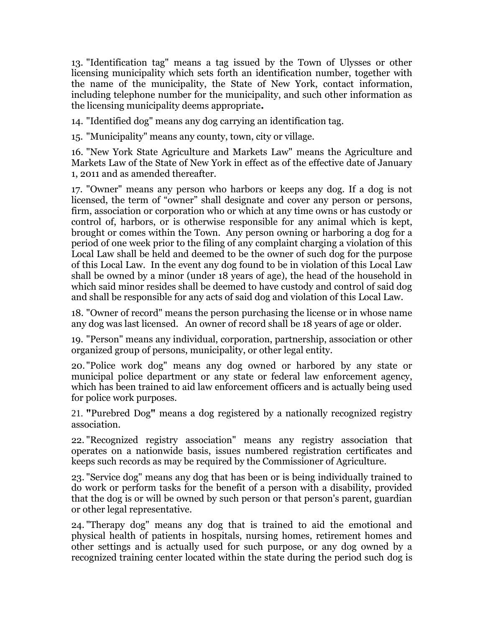13. "Identification tag" means a tag issued by the Town of Ulysses or other licensing municipality which sets forth an identification number, together with the name of the municipality, the State of New York, contact information, including telephone number for the municipality, and such other information as the licensing municipality deems appropriate**.**

14. "Identified dog" means any dog carrying an identification tag.

15. "Municipality" means any county, town, city or village.

16. "New York State Agriculture and Markets Law" means the Agriculture and Markets Law of the State of New York in effect as of the effective date of January 1, 2011 and as amended thereafter.

17. "Owner" means any person who harbors or keeps any dog. If a dog is not licensed, the term of "owner" shall designate and cover any person or persons, firm, association or corporation who or which at any time owns or has custody or control of, harbors, or is otherwise responsible for any animal which is kept, brought or comes within the Town. Any person owning or harboring a dog for a period of one week prior to the filing of any complaint charging a violation of this Local Law shall be held and deemed to be the owner of such dog for the purpose of this Local Law. In the event any dog found to be in violation of this Local Law shall be owned by a minor (under 18 years of age), the head of the household in which said minor resides shall be deemed to have custody and control of said dog and shall be responsible for any acts of said dog and violation of this Local Law.

18. "Owner of record" means the person purchasing the license or in whose name any dog was last licensed. An owner of record shall be 18 years of age or older.

19. "Person" means any individual, corporation, partnership, association or other organized group of persons, municipality, or other legal entity.

20. "Police work dog" means any dog owned or harbored by any state or municipal police department or any state or federal law enforcement agency, which has been trained to aid law enforcement officers and is actually being used for police work purposes.

21. **"**Purebred Dog**"** means a dog registered by a nationally recognized registry association.

22. "Recognized registry association" means any registry association that operates on a nationwide basis, issues numbered registration certificates and keeps such records as may be required by the Commissioner of Agriculture.

23. "Service dog" means any dog that has been or is being individually trained to do work or perform tasks for the benefit of a person with a disability, provided that the dog is or will be owned by such person or that person's parent, guardian or other legal representative.

24. "Therapy dog" means any dog that is trained to aid the emotional and physical health of patients in hospitals, nursing homes, retirement homes and other settings and is actually used for such purpose, or any dog owned by a recognized training center located within the state during the period such dog is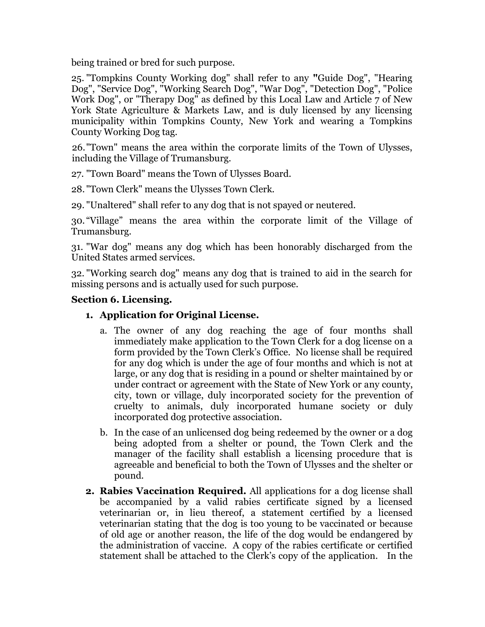being trained or bred for such purpose.

25. "Tompkins County Working dog" shall refer to any **"**Guide Dog", "Hearing Dog", "Service Dog", "Working Search Dog", "War Dog", "Detection Dog", "Police Work Dog", or "Therapy Dog" as defined by this Local Law and Article 7 of New York State Agriculture & Markets Law, and is duly licensed by any licensing municipality within Tompkins County, New York and wearing a Tompkins County Working Dog tag.

26."Town" means the area within the corporate limits of the Town of Ulysses, including the Village of Trumansburg.

27. "Town Board" means the Town of Ulysses Board.

28. "Town Clerk" means the Ulysses Town Clerk.

29. "Unaltered" shall refer to any dog that is not spayed or neutered.

30. "Village" means the area within the corporate limit of the Village of Trumansburg.

31. "War dog" means any dog which has been honorably discharged from the United States armed services.

32. "Working search dog" means any dog that is trained to aid in the search for missing persons and is actually used for such purpose.

#### **Section 6. Licensing.**

#### **1. Application for Original License.**

- a. The owner of any dog reaching the age of four months shall immediately make application to the Town Clerk for a dog license on a form provided by the Town Clerk's Office. No license shall be required for any dog which is under the age of four months and which is not at large, or any dog that is residing in a pound or shelter maintained by or under contract or agreement with the State of New York or any county, city, town or village, duly incorporated society for the prevention of cruelty to animals, duly incorporated humane society or duly incorporated dog protective association.
- b. In the case of an unlicensed dog being redeemed by the owner or a dog being adopted from a shelter or pound, the Town Clerk and the manager of the facility shall establish a licensing procedure that is agreeable and beneficial to both the Town of Ulysses and the shelter or pound.
- **2. Rabies Vaccination Required.** All applications for a dog license shall be accompanied by a valid rabies certificate signed by a licensed veterinarian or, in lieu thereof, a statement certified by a licensed veterinarian stating that the dog is too young to be vaccinated or because of old age or another reason, the life of the dog would be endangered by the administration of vaccine. A copy of the rabies certificate or certified statement shall be attached to the Clerk's copy of the application. In the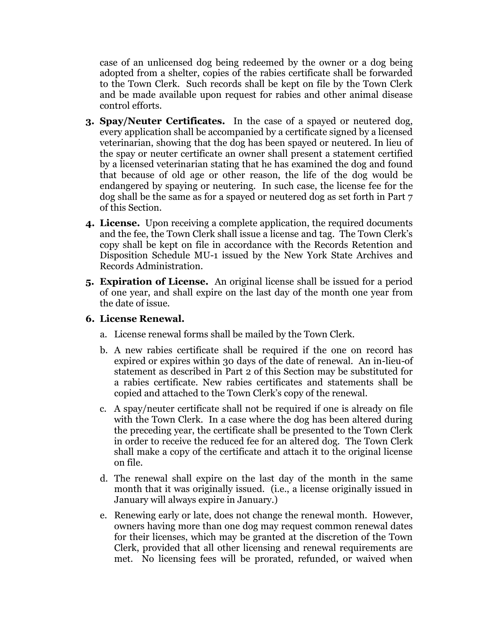case of an unlicensed dog being redeemed by the owner or a dog being adopted from a shelter, copies of the rabies certificate shall be forwarded to the Town Clerk. Such records shall be kept on file by the Town Clerk and be made available upon request for rabies and other animal disease control efforts.

- **3. Spay/Neuter Certificates.** In the case of a spayed or neutered dog, every application shall be accompanied by a certificate signed by a licensed veterinarian, showing that the dog has been spayed or neutered. In lieu of the spay or neuter certificate an owner shall present a statement certified by a licensed veterinarian stating that he has examined the dog and found that because of old age or other reason, the life of the dog would be endangered by spaying or neutering. In such case, the license fee for the dog shall be the same as for a spayed or neutered dog as set forth in Part 7 of this Section.
- **4. License.** Upon receiving a complete application, the required documents and the fee, the Town Clerk shall issue a license and tag. The Town Clerk's copy shall be kept on file in accordance with the Records Retention and Disposition Schedule MU-1 issued by the New York State Archives and Records Administration.
- **5. Expiration of License.** An original license shall be issued for a period of one year, and shall expire on the last day of the month one year from the date of issue.

### **6. License Renewal.**

- a. License renewal forms shall be mailed by the Town Clerk.
- b. A new rabies certificate shall be required if the one on record has expired or expires within 30 days of the date of renewal. An in-lieu-of statement as described in Part 2 of this Section may be substituted for a rabies certificate. New rabies certificates and statements shall be copied and attached to the Town Clerk's copy of the renewal.
- c. A spay/neuter certificate shall not be required if one is already on file with the Town Clerk. In a case where the dog has been altered during the preceding year, the certificate shall be presented to the Town Clerk in order to receive the reduced fee for an altered dog. The Town Clerk shall make a copy of the certificate and attach it to the original license on file.
- d. The renewal shall expire on the last day of the month in the same month that it was originally issued. (i.e., a license originally issued in January will always expire in January.)
- e. Renewing early or late, does not change the renewal month. However, owners having more than one dog may request common renewal dates for their licenses, which may be granted at the discretion of the Town Clerk, provided that all other licensing and renewal requirements are met. No licensing fees will be prorated, refunded, or waived when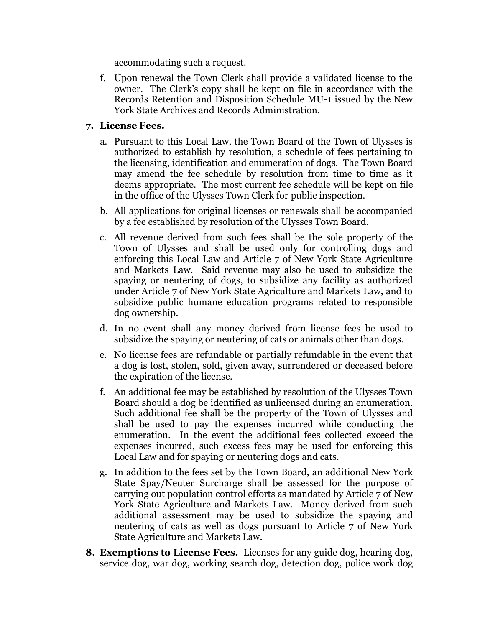accommodating such a request.

f. Upon renewal the Town Clerk shall provide a validated license to the owner. The Clerk's copy shall be kept on file in accordance with the Records Retention and Disposition Schedule MU-1 issued by the New York State Archives and Records Administration.

#### **7. License Fees.**

- a. Pursuant to this Local Law, the Town Board of the Town of Ulysses is authorized to establish by resolution, a schedule of fees pertaining to the licensing, identification and enumeration of dogs. The Town Board may amend the fee schedule by resolution from time to time as it deems appropriate. The most current fee schedule will be kept on file in the office of the Ulysses Town Clerk for public inspection.
- b. All applications for original licenses or renewals shall be accompanied by a fee established by resolution of the Ulysses Town Board.
- c. All revenue derived from such fees shall be the sole property of the Town of Ulysses and shall be used only for controlling dogs and enforcing this Local Law and Article 7 of New York State Agriculture and Markets Law. Said revenue may also be used to subsidize the spaying or neutering of dogs, to subsidize any facility as authorized under Article 7 of New York State Agriculture and Markets Law, and to subsidize public humane education programs related to responsible dog ownership.
- d. In no event shall any money derived from license fees be used to subsidize the spaying or neutering of cats or animals other than dogs.
- e. No license fees are refundable or partially refundable in the event that a dog is lost, stolen, sold, given away, surrendered or deceased before the expiration of the license.
- f. An additional fee may be established by resolution of the Ulysses Town Board should a dog be identified as unlicensed during an enumeration. Such additional fee shall be the property of the Town of Ulysses and shall be used to pay the expenses incurred while conducting the enumeration. In the event the additional fees collected exceed the expenses incurred, such excess fees may be used for enforcing this Local Law and for spaying or neutering dogs and cats.
- g. In addition to the fees set by the Town Board, an additional New York State Spay/Neuter Surcharge shall be assessed for the purpose of carrying out population control efforts as mandated by Article 7 of New York State Agriculture and Markets Law. Money derived from such additional assessment may be used to subsidize the spaying and neutering of cats as well as dogs pursuant to Article 7 of New York State Agriculture and Markets Law.
- **8. Exemptions to License Fees.** Licenses for any guide dog, hearing dog, service dog, war dog, working search dog, detection dog, police work dog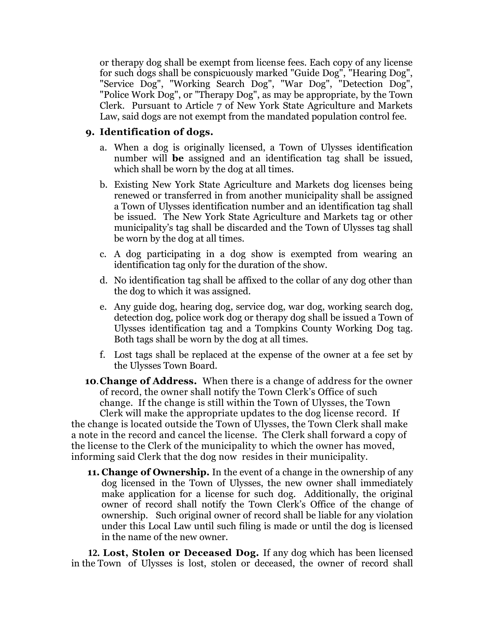or therapy dog shall be exempt from license fees. Each copy of any license for such dogs shall be conspicuously marked "Guide Dog", "Hearing Dog", "Service Dog", "Working Search Dog", "War Dog", "Detection Dog", "Police Work Dog", or "Therapy Dog", as may be appropriate, by the Town Clerk. Pursuant to Article 7 of New York State Agriculture and Markets Law, said dogs are not exempt from the mandated population control fee.

#### **9. Identification of dogs.**

- a. When a dog is originally licensed, a Town of Ulysses identification number will **be** assigned and an identification tag shall be issued, which shall be worn by the dog at all times.
- b. Existing New York State Agriculture and Markets dog licenses being renewed or transferred in from another municipality shall be assigned a Town of Ulysses identification number and an identification tag shall be issued. The New York State Agriculture and Markets tag or other municipality's tag shall be discarded and the Town of Ulysses tag shall be worn by the dog at all times.
- c. A dog participating in a dog show is exempted from wearing an identification tag only for the duration of the show.
- d. No identification tag shall be affixed to the collar of any dog other than the dog to which it was assigned.
- e. Any guide dog, hearing dog, service dog, war dog, working search dog, detection dog, police work dog or therapy dog shall be issued a Town of Ulysses identification tag and a Tompkins County Working Dog tag. Both tags shall be worn by the dog at all times.
- f. Lost tags shall be replaced at the expense of the owner at a fee set by the Ulysses Town Board.
- **10**.**Change of Address.** When there is a change of address for the owner of record, the owner shall notify the Town Clerk's Office of such change. If the change is still within the Town of Ulysses, the Town Clerk will make the appropriate updates to the dog license record. If

the change is located outside the Town of Ulysses, the Town Clerk shall make a note in the record and cancel the license. The Clerk shall forward a copy of the license to the Clerk of the municipality to which the owner has moved, informing said Clerk that the dog now resides in their municipality.

**11. Change of Ownership.** In the event of a change in the ownership of any dog licensed in the Town of Ulysses, the new owner shall immediately make application for a license for such dog. Additionally, the original owner of record shall notify the Town Clerk's Office of the change of ownership. Such original owner of record shall be liable for any violation under this Local Law until such filing is made or until the dog is licensed in the name of the new owner.

 **12. Lost, Stolen or Deceased Dog.** If any dog which has been licensed in the Town of Ulysses is lost, stolen or deceased, the owner of record shall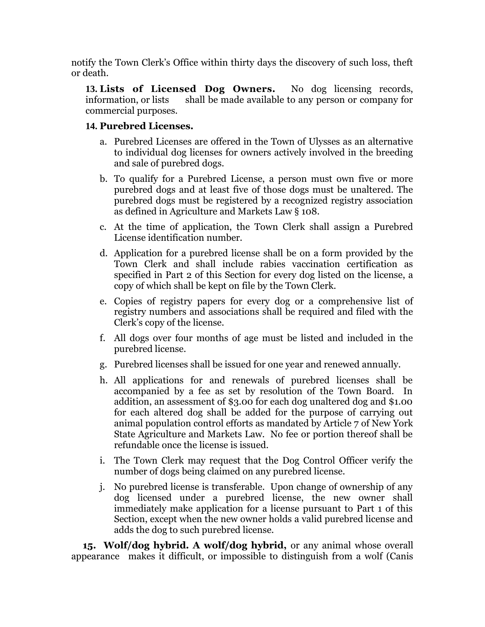notify the Town Clerk's Office within thirty days the discovery of such loss, theft or death.

**13. Lists of Licensed Dog Owners.** No dog licensing records, information, or lists shall be made available to any person or company for commercial purposes.

## **14. Purebred Licenses.**

- a. Purebred Licenses are offered in the Town of Ulysses as an alternative to individual dog licenses for owners actively involved in the breeding and sale of purebred dogs.
- b. To qualify for a Purebred License, a person must own five or more purebred dogs and at least five of those dogs must be unaltered. The purebred dogs must be registered by a recognized registry association as defined in Agriculture and Markets Law § 108.
- c. At the time of application, the Town Clerk shall assign a Purebred License identification number.
- d. Application for a purebred license shall be on a form provided by the Town Clerk and shall include rabies vaccination certification as specified in Part 2 of this Section for every dog listed on the license, a copy of which shall be kept on file by the Town Clerk.
- e. Copies of registry papers for every dog or a comprehensive list of registry numbers and associations shall be required and filed with the Clerk's copy of the license.
- f. All dogs over four months of age must be listed and included in the purebred license.
- g. Purebred licenses shall be issued for one year and renewed annually.
- h. All applications for and renewals of purebred licenses shall be accompanied by a fee as set by resolution of the Town Board. In addition, an assessment of \$3.00 for each dog unaltered dog and \$1.00 for each altered dog shall be added for the purpose of carrying out animal population control efforts as mandated by Article 7 of New York State Agriculture and Markets Law. No fee or portion thereof shall be refundable once the license is issued.
- i. The Town Clerk may request that the Dog Control Officer verify the number of dogs being claimed on any purebred license.
- j. No purebred license is transferable. Upon change of ownership of any dog licensed under a purebred license, the new owner shall immediately make application for a license pursuant to Part 1 of this Section, except when the new owner holds a valid purebred license and adds the dog to such purebred license.

 **15. Wolf/dog hybrid. A wolf/dog hybrid,** or any animal whose overall appearance makes it difficult, or impossible to distinguish from a wolf (Canis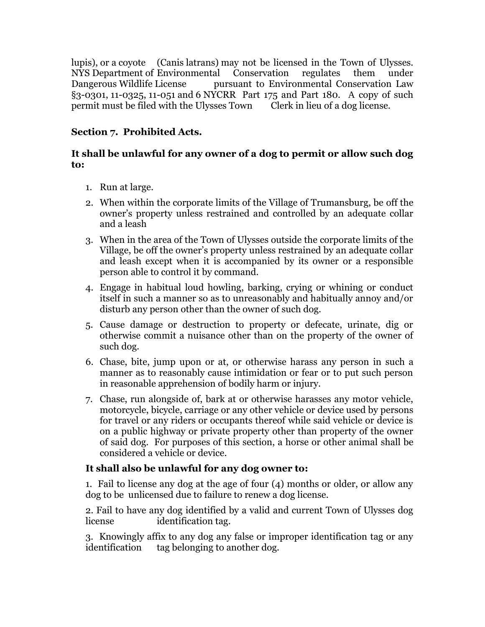lupis), or a coyote (Canis latrans) may not be licensed in the Town of Ulysses. NYS Department of Environmental Conservation regulates them under Dangerous Wildlife License pursuant to Environmental Conservation Law §3-0301, 11-0325, 11-051 and 6 NYCRR Part 175 and Part 180.A copy of such permit must be filed with the Ulysses Town Clerk in lieu of a dog license.

## **Section 7. Prohibited Acts.**

## **It shall be unlawful for any owner of a dog to permit or allow such dog to:**

- 1. Run at large.
- 2. When within the corporate limits of the Village of Trumansburg, be off the owner's property unless restrained and controlled by an adequate collar and a leash
- 3. When in the area of the Town of Ulysses outside the corporate limits of the Village, be off the owner's property unless restrained by an adequate collar and leash except when it is accompanied by its owner or a responsible person able to control it by command.
- 4. Engage in habitual loud howling, barking, crying or whining or conduct itself in such a manner so as to unreasonably and habitually annoy and/or disturb any person other than the owner of such dog.
- 5. Cause damage or destruction to property or defecate, urinate, dig or otherwise commit a nuisance other than on the property of the owner of such dog.
- 6. Chase, bite, jump upon or at, or otherwise harass any person in such a manner as to reasonably cause intimidation or fear or to put such person in reasonable apprehension of bodily harm or injury.
- 7. Chase, run alongside of, bark at or otherwise harasses any motor vehicle, motorcycle, bicycle, carriage or any other vehicle or device used by persons for travel or any riders or occupants thereof while said vehicle or device is on a public highway or private property other than property of the owner of said dog. For purposes of this section, a horse or other animal shall be considered a vehicle or device.

## **It shall also be unlawful for any dog owner to:**

1. Fail to license any dog at the age of four (4) months or older, or allow any dog to be unlicensed due to failure to renew a dog license.

2. Fail to have any dog identified by a valid and current Town of Ulysses dog license identification tag.

3. Knowingly affix to any dog any false or improper identification tag or any identification tag belonging to another dog.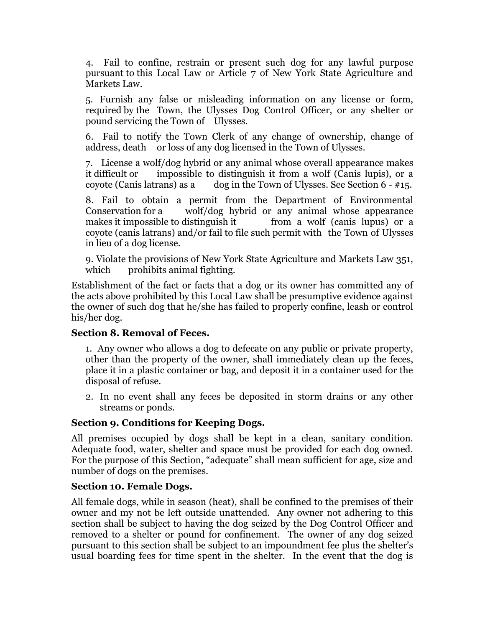4. Fail to confine, restrain or present such dog for any lawful purpose pursuant to this Local Law or Article 7 of New York State Agriculture and Markets Law.

5. Furnish any false or misleading information on any license or form, required by the Town, the Ulysses Dog Control Officer, or any shelter or pound servicing the Town of Ulysses.

6. Fail to notify the Town Clerk of any change of ownership, change of address, death or loss of any dog licensed in the Town of Ulysses.

7. License a wolf/dog hybrid or any animal whose overall appearance makes it difficult or impossible to distinguish it from a wolf (Canis lupis), or a coyote (Canis latrans) as a dog in the Town of Ulysses. See Section  $6 - #15$ .

8. Fail to obtain a permit from the Department of Environmental Conservation for a wolf/dog hybrid or any animal whose appearance makes it impossible to distinguish it from a wolf (canis lupus) or a coyote (canis latrans) and/or fail to file such permit with the Town of Ulysses in lieu of a dog license.

9. Violate the provisions of New York State Agriculture and Markets Law 351, which prohibits animal fighting.

Establishment of the fact or facts that a dog or its owner has committed any of the acts above prohibited by this Local Law shall be presumptive evidence against the owner of such dog that he/she has failed to properly confine, leash or control his/her dog.

#### **Section 8. Removal of Feces.**

1. Any owner who allows a dog to defecate on any public or private property, other than the property of the owner, shall immediately clean up the feces, place it in a plastic container or bag, and deposit it in a container used for the disposal of refuse.

2. In no event shall any feces be deposited in storm drains or any other streams or ponds.

#### **Section 9. Conditions for Keeping Dogs.**

All premises occupied by dogs shall be kept in a clean, sanitary condition. Adequate food, water, shelter and space must be provided for each dog owned. For the purpose of this Section, "adequate" shall mean sufficient for age, size and number of dogs on the premises.

#### **Section 10. Female Dogs.**

All female dogs, while in season (heat), shall be confined to the premises of their owner and my not be left outside unattended. Any owner not adhering to this section shall be subject to having the dog seized by the Dog Control Officer and removed to a shelter or pound for confinement. The owner of any dog seized pursuant to this section shall be subject to an impoundment fee plus the shelter's usual boarding fees for time spent in the shelter. In the event that the dog is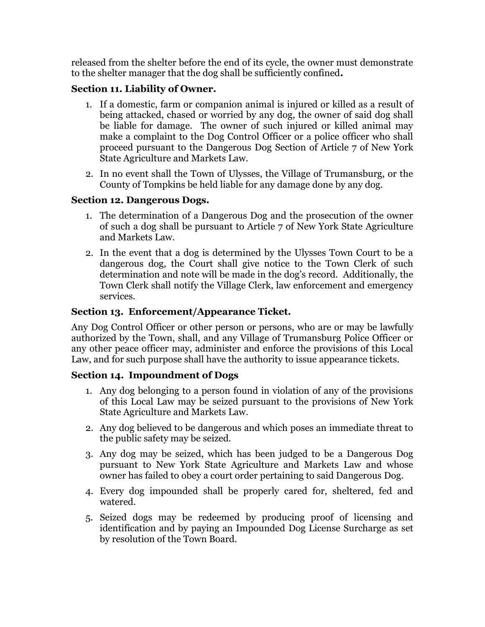released from the shelter before the end of its cycle, the owner must demonstrate to the shelter manager that the dog shall be sufficiently confined**.** 

## **Section 11. Liability of Owner.**

- 1. If a domestic, farm or companion animal is injured or killed as a result of being attacked, chased or worried by any dog, the owner of said dog shall be liable for damage. The owner of such injured or killed animal may make a complaint to the Dog Control Officer or a police officer who shall proceed pursuant to the Dangerous Dog Section of Article 7 of New York State Agriculture and Markets Law.
- 2. In no event shall the Town of Ulysses, the Village of Trumansburg, or the County of Tompkins be held liable for any damage done by any dog.

## **Section 12. Dangerous Dogs.**

- 1. The determination of a Dangerous Dog and the prosecution of the owner of such a dog shall be pursuant to Article 7 of New York State Agriculture and Markets Law.
- 2. In the event that a dog is determined by the Ulysses Town Court to be a dangerous dog, the Court shall give notice to the Town Clerk of such determination and note will be made in the dog's record. Additionally, the Town Clerk shall notify the Village Clerk, law enforcement and emergency services.

## **Section 13. Enforcement/Appearance Ticket.**

Any Dog Control Officer or other person or persons, who are or may be lawfully authorized by the Town, shall, and any Village of Trumansburg Police Officer or any other peace officer may, administer and enforce the provisions of this Local Law, and for such purpose shall have the authority to issue appearance tickets.

## **Section 14. Impoundment of Dogs**

- 1. Any dog belonging to a person found in violation of any of the provisions of this Local Law may be seized pursuant to the provisions of New York State Agriculture and Markets Law.
- 2. Any dog believed to be dangerous and which poses an immediate threat to the public safety may be seized.
- 3. Any dog may be seized, which has been judged to be a Dangerous Dog pursuant to New York State Agriculture and Markets Law and whose owner has failed to obey a court order pertaining to said Dangerous Dog.
- 4. Every dog impounded shall be properly cared for, sheltered, fed and watered.
- 5. Seized dogs may be redeemed by producing proof of licensing and identification and by paying an Impounded Dog License Surcharge as set by resolution of the Town Board.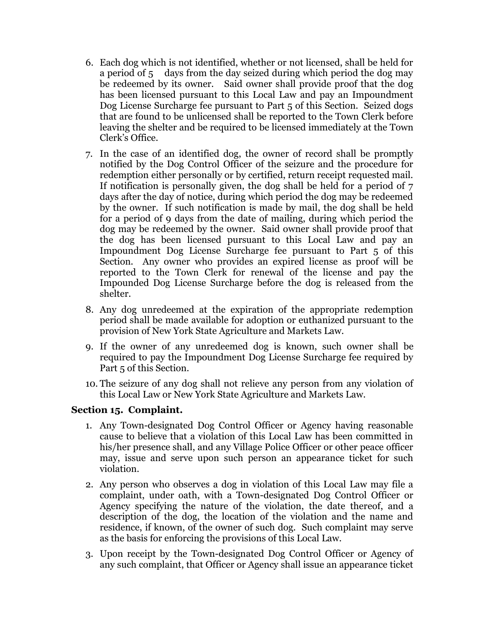- 6. Each dog which is not identified, whether or not licensed, shall be held for a period of 5 days from the day seized during which period the dog may be redeemed by its owner. Said owner shall provide proof that the dog has been licensed pursuant to this Local Law and pay an Impoundment Dog License Surcharge fee pursuant to Part 5 of this Section. Seized dogs that are found to be unlicensed shall be reported to the Town Clerk before leaving the shelter and be required to be licensed immediately at the Town Clerk's Office.
- 7. In the case of an identified dog, the owner of record shall be promptly notified by the Dog Control Officer of the seizure and the procedure for redemption either personally or by certified, return receipt requested mail. If notification is personally given, the dog shall be held for a period of 7 days after the day of notice, during which period the dog may be redeemed by the owner. If such notification is made by mail, the dog shall be held for a period of 9 days from the date of mailing, during which period the dog may be redeemed by the owner. Said owner shall provide proof that the dog has been licensed pursuant to this Local Law and pay an Impoundment Dog License Surcharge fee pursuant to Part 5 of this Section. Any owner who provides an expired license as proof will be reported to the Town Clerk for renewal of the license and pay the Impounded Dog License Surcharge before the dog is released from the shelter.
- 8. Any dog unredeemed at the expiration of the appropriate redemption period shall be made available for adoption or euthanized pursuant to the provision of New York State Agriculture and Markets Law.
- 9. If the owner of any unredeemed dog is known, such owner shall be required to pay the Impoundment Dog License Surcharge fee required by Part 5 of this Section.
- 10. The seizure of any dog shall not relieve any person from any violation of this Local Law or New York State Agriculture and Markets Law.

## **Section 15. Complaint.**

- 1. Any Town-designated Dog Control Officer or Agency having reasonable cause to believe that a violation of this Local Law has been committed in his/her presence shall, and any Village Police Officer or other peace officer may, issue and serve upon such person an appearance ticket for such violation.
- 2. Any person who observes a dog in violation of this Local Law may file a complaint, under oath, with a Town-designated Dog Control Officer or Agency specifying the nature of the violation, the date thereof, and a description of the dog, the location of the violation and the name and residence, if known, of the owner of such dog. Such complaint may serve as the basis for enforcing the provisions of this Local Law.
- 3. Upon receipt by the Town-designated Dog Control Officer or Agency of any such complaint, that Officer or Agency shall issue an appearance ticket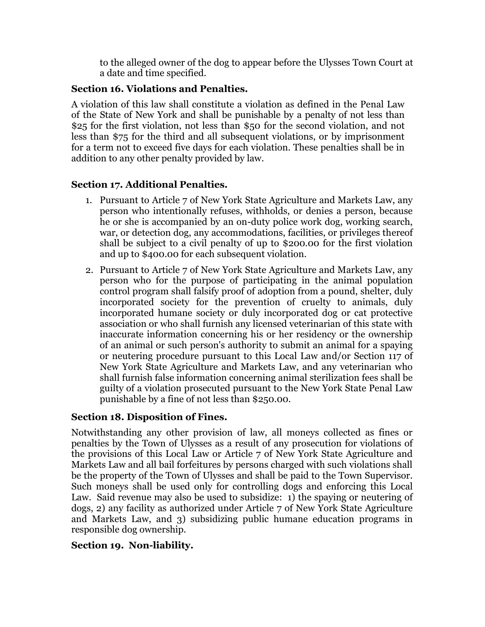to the alleged owner of the dog to appear before the Ulysses Town Court at a date and time specified.

### **Section 16. Violations and Penalties.**

A violation of this law shall constitute a violation as defined in the Penal Law of the State of New York and shall be punishable by a penalty of not less than \$25 for the first violation, not less than \$50 for the second violation, and not less than \$75 for the third and all subsequent violations, or by imprisonment for a term not to exceed five days for each violation. These penalties shall be in addition to any other penalty provided by law.

## **Section 17. Additional Penalties.**

- 1. Pursuant to Article 7 of New York State Agriculture and Markets Law, any person who intentionally refuses, withholds, or denies a person, because he or she is accompanied by an on-duty police work dog, working search, war, or detection dog, any accommodations, facilities, or privileges thereof shall be subject to a civil penalty of up to \$200.00 for the first violation and up to \$400.00 for each subsequent violation.
- 2. Pursuant to Article 7 of New York State Agriculture and Markets Law, any person who for the purpose of participating in the animal population control program shall falsify proof of adoption from a pound, shelter, duly incorporated society for the prevention of cruelty to animals, duly incorporated humane society or duly incorporated dog or cat protective association or who shall furnish any licensed veterinarian of this state with inaccurate information concerning his or her residency or the ownership of an animal or such person's authority to submit an animal for a spaying or neutering procedure pursuant to this Local Law and/or Section 117 of New York State Agriculture and Markets Law, and any veterinarian who shall furnish false information concerning animal sterilization fees shall be guilty of a violation prosecuted pursuant to the New York State Penal Law punishable by a fine of not less than \$250.00.

## **Section 18. Disposition of Fines.**

Notwithstanding any other provision of law, all moneys collected as fines or penalties by the Town of Ulysses as a result of any prosecution for violations of the provisions of this Local Law or Article 7 of New York State Agriculture and Markets Law and all bail forfeitures by persons charged with such violations shall be the property of the Town of Ulysses and shall be paid to the Town Supervisor. Such moneys shall be used only for controlling dogs and enforcing this Local Law. Said revenue may also be used to subsidize: 1) the spaying or neutering of dogs, 2) any facility as authorized under Article 7 of New York State Agriculture and Markets Law, and 3) subsidizing public humane education programs in responsible dog ownership.

## **Section 19. Non-liability.**